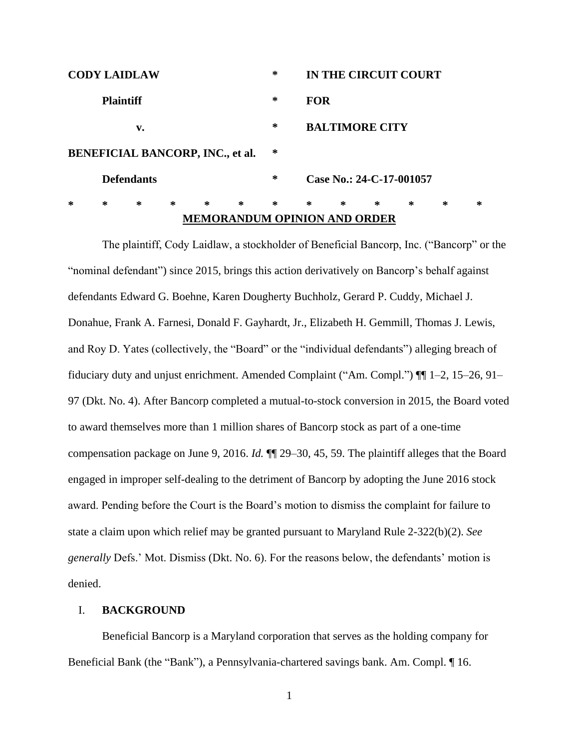| <b>CODY LAIDLAW</b> |   |   |   |   |                                         | ∗      | IN THE CIRCUIT COURT |                          |   |   |   |   |  |
|---------------------|---|---|---|---|-----------------------------------------|--------|----------------------|--------------------------|---|---|---|---|--|
| <b>Plaintiff</b>    |   |   |   |   |                                         | ∗      |                      | <b>FOR</b>               |   |   |   |   |  |
| v.                  |   |   |   |   |                                         | ∗      |                      | <b>BALTIMORE CITY</b>    |   |   |   |   |  |
|                     |   |   |   |   | <b>BENEFICIAL BANCORP, INC., et al.</b> | ∗      |                      |                          |   |   |   |   |  |
| <b>Defendants</b>   |   |   |   |   |                                         | ∗      |                      | Case No.: 24-C-17-001057 |   |   |   |   |  |
| ∗                   | ∗ | ∗ | ∗ | ∗ | ∗                                       | $\ast$ | ∗                    | ∗                        | ∗ | ∗ | ∗ | ∗ |  |
|                     |   |   |   |   | <b>MEMORANDUM OPINION AND ORDER</b>     |        |                      |                          |   |   |   |   |  |

The plaintiff, Cody Laidlaw, a stockholder of Beneficial Bancorp, Inc. ("Bancorp" or the "nominal defendant") since 2015, brings this action derivatively on Bancorp's behalf against defendants Edward G. Boehne, Karen Dougherty Buchholz, Gerard P. Cuddy, Michael J. Donahue, Frank A. Farnesi, Donald F. Gayhardt, Jr., Elizabeth H. Gemmill, Thomas J. Lewis, and Roy D. Yates (collectively, the "Board" or the "individual defendants") alleging breach of fiduciary duty and unjust enrichment. Amended Complaint ("Am. Compl.") ¶¶ 1–2, 15–26, 91– 97 (Dkt. No. 4). After Bancorp completed a mutual-to-stock conversion in 2015, the Board voted to award themselves more than 1 million shares of Bancorp stock as part of a one-time compensation package on June 9, 2016. *Id.* ¶¶ 29–30, 45, 59. The plaintiff alleges that the Board engaged in improper self-dealing to the detriment of Bancorp by adopting the June 2016 stock award. Pending before the Court is the Board's motion to dismiss the complaint for failure to state a claim upon which relief may be granted pursuant to Maryland Rule 2-322(b)(2). *See generally* Defs.' Mot. Dismiss (Dkt. No. 6). For the reasons below, the defendants' motion is denied.

## I. **BACKGROUND**

Beneficial Bancorp is a Maryland corporation that serves as the holding company for Beneficial Bank (the "Bank"), a Pennsylvania-chartered savings bank. Am. Compl. ¶ 16.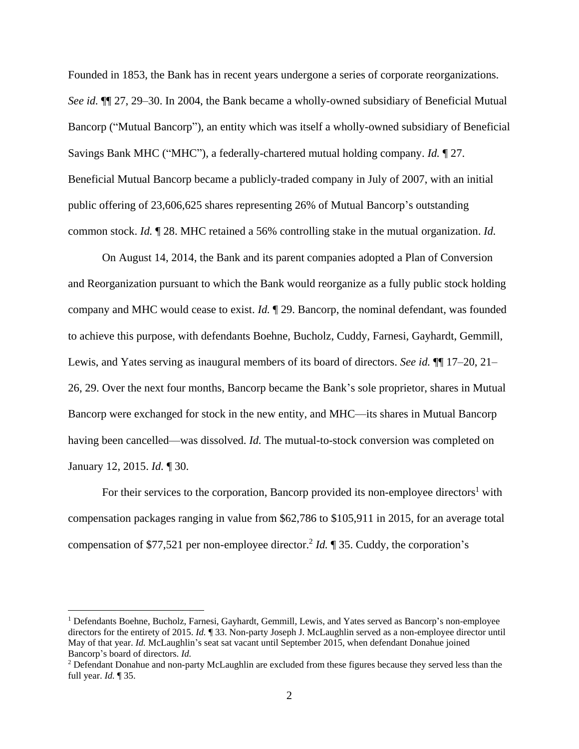Founded in 1853, the Bank has in recent years undergone a series of corporate reorganizations. *See id.* ¶¶ 27, 29–30. In 2004, the Bank became a wholly-owned subsidiary of Beneficial Mutual Bancorp ("Mutual Bancorp"), an entity which was itself a wholly-owned subsidiary of Beneficial Savings Bank MHC ("MHC"), a federally-chartered mutual holding company. *Id.* ¶ 27. Beneficial Mutual Bancorp became a publicly-traded company in July of 2007, with an initial public offering of 23,606,625 shares representing 26% of Mutual Bancorp's outstanding common stock. *Id.* ¶ 28. MHC retained a 56% controlling stake in the mutual organization. *Id.*

On August 14, 2014, the Bank and its parent companies adopted a Plan of Conversion and Reorganization pursuant to which the Bank would reorganize as a fully public stock holding company and MHC would cease to exist. *Id.* ¶ 29. Bancorp, the nominal defendant, was founded to achieve this purpose, with defendants Boehne, Bucholz, Cuddy, Farnesi, Gayhardt, Gemmill, Lewis, and Yates serving as inaugural members of its board of directors. *See id.* ¶¶ 17–20, 21– 26, 29. Over the next four months, Bancorp became the Bank's sole proprietor, shares in Mutual Bancorp were exchanged for stock in the new entity, and MHC—its shares in Mutual Bancorp having been cancelled—was dissolved. *Id.* The mutual-to-stock conversion was completed on January 12, 2015. *Id.* ¶ 30.

For their services to the corporation, Bancorp provided its non-employee directors<sup>1</sup> with compensation packages ranging in value from \$62,786 to \$105,911 in 2015, for an average total compensation of \$77,521 per non-employee director. 2 *Id.* ¶ 35. Cuddy, the corporation's

 $\overline{a}$ 

<sup>&</sup>lt;sup>1</sup> Defendants Boehne, Bucholz, Farnesi, Gayhardt, Gemmill, Lewis, and Yates served as Bancorp's non-employee directors for the entirety of 2015. *Id.* **[33.** Non-party Joseph J. McLaughlin served as a non-employee director until May of that year. *Id.* McLaughlin's seat sat vacant until September 2015, when defendant Donahue joined Bancorp's board of directors. *Id.*

<sup>&</sup>lt;sup>2</sup> Defendant Donahue and non-party McLaughlin are excluded from these figures because they served less than the full year. *Id.* ¶ 35.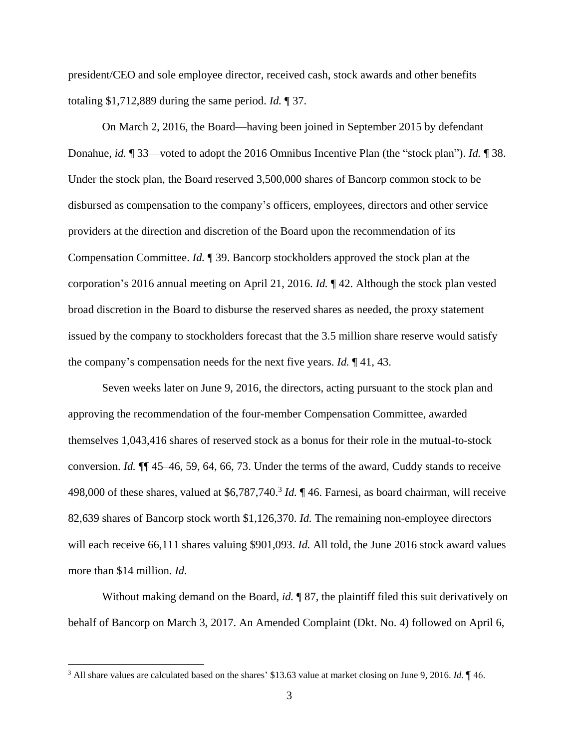president/CEO and sole employee director, received cash, stock awards and other benefits totaling \$1,712,889 during the same period. *Id.* ¶ 37.

On March 2, 2016, the Board—having been joined in September 2015 by defendant Donahue, *id.* ¶ 33—voted to adopt the 2016 Omnibus Incentive Plan (the "stock plan"). *Id.* ¶ 38. Under the stock plan, the Board reserved 3,500,000 shares of Bancorp common stock to be disbursed as compensation to the company's officers, employees, directors and other service providers at the direction and discretion of the Board upon the recommendation of its Compensation Committee. *Id.* ¶ 39. Bancorp stockholders approved the stock plan at the corporation's 2016 annual meeting on April 21, 2016. *Id.* ¶ 42. Although the stock plan vested broad discretion in the Board to disburse the reserved shares as needed, the proxy statement issued by the company to stockholders forecast that the 3.5 million share reserve would satisfy the company's compensation needs for the next five years. *Id.* ¶ 41, 43.

Seven weeks later on June 9, 2016, the directors, acting pursuant to the stock plan and approving the recommendation of the four-member Compensation Committee, awarded themselves 1,043,416 shares of reserved stock as a bonus for their role in the mutual-to-stock conversion. *Id.* ¶¶ 45–46, 59, 64, 66, 73. Under the terms of the award, Cuddy stands to receive 498,000 of these shares, valued at \$6,787,740. 3 *Id.* ¶ 46. Farnesi, as board chairman, will receive 82,639 shares of Bancorp stock worth \$1,126,370. *Id.* The remaining non-employee directors will each receive 66,111 shares valuing \$901,093. *Id.* All told, the June 2016 stock award values more than \$14 million. *Id.*

Without making demand on the Board, *id.* ¶ 87, the plaintiff filed this suit derivatively on behalf of Bancorp on March 3, 2017. An Amended Complaint (Dkt. No. 4) followed on April 6,

 $\overline{a}$ 

<sup>3</sup> All share values are calculated based on the shares' \$13.63 value at market closing on June 9, 2016. *Id.* ¶ 46.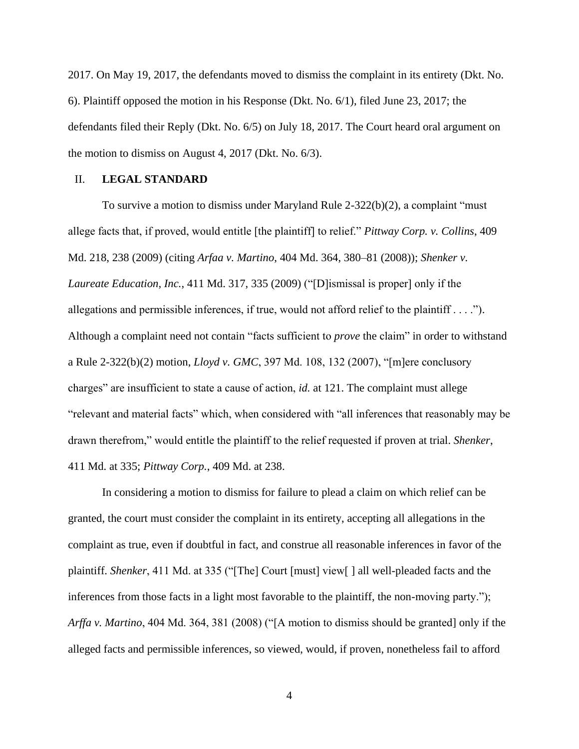2017. On May 19, 2017, the defendants moved to dismiss the complaint in its entirety (Dkt. No. 6). Plaintiff opposed the motion in his Response (Dkt. No. 6/1), filed June 23, 2017; the defendants filed their Reply (Dkt. No. 6/5) on July 18, 2017. The Court heard oral argument on the motion to dismiss on August 4, 2017 (Dkt. No. 6/3).

## II. **LEGAL STANDARD**

To survive a motion to dismiss under Maryland Rule 2-322(b)(2), a complaint "must allege facts that, if proved, would entitle [the plaintiff] to relief." *Pittway Corp. v. Collins*, 409 Md. 218, 238 (2009) (citing *Arfaa v. Martino*, 404 Md. 364, 380–81 (2008)); *Shenker v. Laureate Education, Inc.*, 411 Md. 317, 335 (2009) ("[D]ismissal is proper] only if the allegations and permissible inferences, if true, would not afford relief to the plaintiff  $\dots$ . Although a complaint need not contain "facts sufficient to *prove* the claim" in order to withstand a Rule 2-322(b)(2) motion, *Lloyd v. GMC*, 397 Md. 108, 132 (2007), "[m]ere conclusory charges" are insufficient to state a cause of action, *id.* at 121. The complaint must allege "relevant and material facts" which, when considered with "all inferences that reasonably may be drawn therefrom," would entitle the plaintiff to the relief requested if proven at trial. *Shenker*, 411 Md. at 335; *Pittway Corp.*, 409 Md. at 238.

In considering a motion to dismiss for failure to plead a claim on which relief can be granted, the court must consider the complaint in its entirety, accepting all allegations in the complaint as true, even if doubtful in fact, and construe all reasonable inferences in favor of the plaintiff. *Shenker*, 411 Md. at 335 ("[The] Court [must] view[ ] all well-pleaded facts and the inferences from those facts in a light most favorable to the plaintiff, the non-moving party."); *Arffa v. Martino*, 404 Md. 364, 381 (2008) ("[A motion to dismiss should be granted] only if the alleged facts and permissible inferences, so viewed, would, if proven, nonetheless fail to afford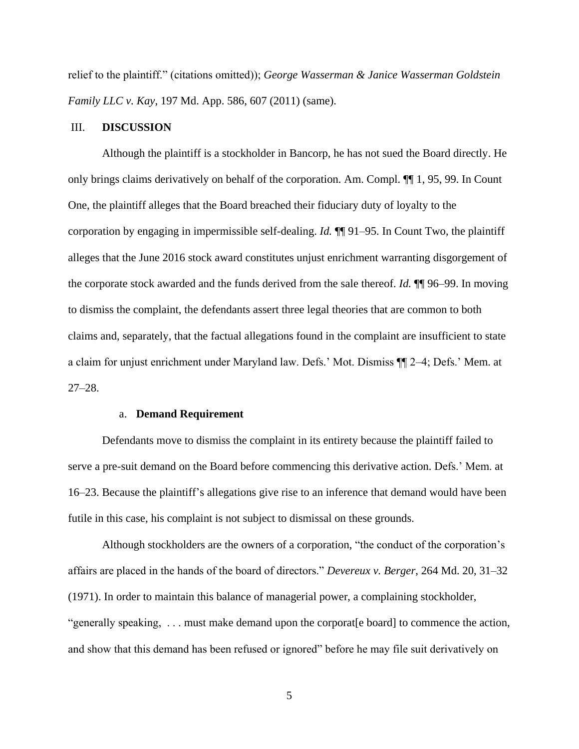relief to the plaintiff." (citations omitted)); *George Wasserman & Janice Wasserman Goldstein Family LLC v. Kay*, 197 Md. App. 586, 607 (2011) (same).

## III. **DISCUSSION**

Although the plaintiff is a stockholder in Bancorp, he has not sued the Board directly. He only brings claims derivatively on behalf of the corporation. Am. Compl. ¶¶ 1, 95, 99. In Count One, the plaintiff alleges that the Board breached their fiduciary duty of loyalty to the corporation by engaging in impermissible self-dealing. *Id.* ¶¶ 91–95. In Count Two, the plaintiff alleges that the June 2016 stock award constitutes unjust enrichment warranting disgorgement of the corporate stock awarded and the funds derived from the sale thereof. *Id.* ¶¶ 96–99. In moving to dismiss the complaint, the defendants assert three legal theories that are common to both claims and, separately, that the factual allegations found in the complaint are insufficient to state a claim for unjust enrichment under Maryland law. Defs.' Mot. Dismiss ¶¶ 2–4; Defs.' Mem. at 27–28.

### a. **Demand Requirement**

Defendants move to dismiss the complaint in its entirety because the plaintiff failed to serve a pre-suit demand on the Board before commencing this derivative action. Defs.' Mem. at 16–23. Because the plaintiff's allegations give rise to an inference that demand would have been futile in this case, his complaint is not subject to dismissal on these grounds.

Although stockholders are the owners of a corporation, "the conduct of the corporation's affairs are placed in the hands of the board of directors." *Devereux v. Berger*, 264 Md. 20, 31–32 (1971). In order to maintain this balance of managerial power, a complaining stockholder, "generally speaking, . . . must make demand upon the corporat[e board] to commence the action, and show that this demand has been refused or ignored" before he may file suit derivatively on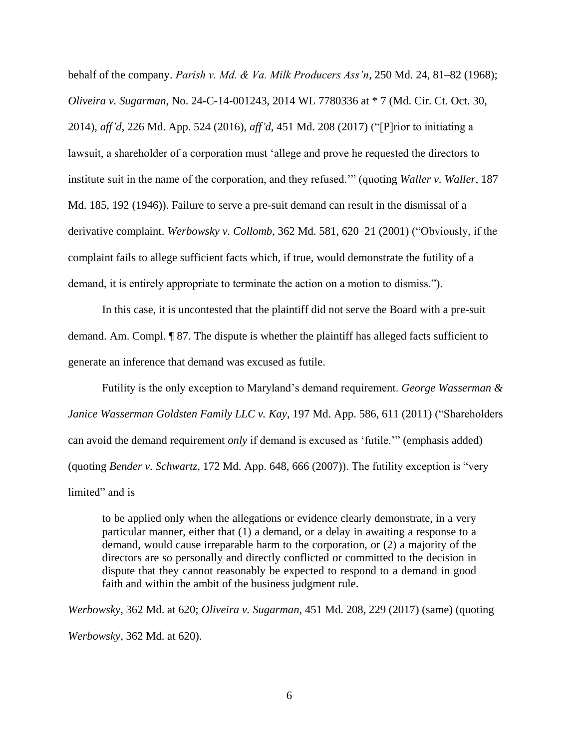behalf of the company. *Parish v. Md. & Va. Milk Producers Ass'n*, 250 Md. 24, 81–82 (1968); *Oliveira v. Sugarman*, No. 24-C-14-001243, 2014 WL 7780336 at \* 7 (Md. Cir. Ct. Oct. 30, 2014), *aff'd*, 226 Md. App. 524 (2016), *aff'd*, 451 Md. 208 (2017) ("[P]rior to initiating a lawsuit, a shareholder of a corporation must 'allege and prove he requested the directors to institute suit in the name of the corporation, and they refused.'" (quoting *Waller v. Waller*, 187 Md. 185, 192 (1946)). Failure to serve a pre-suit demand can result in the dismissal of a derivative complaint. *Werbowsky v. Collomb*, 362 Md. 581, 620–21 (2001) ("Obviously, if the complaint fails to allege sufficient facts which, if true, would demonstrate the futility of a demand, it is entirely appropriate to terminate the action on a motion to dismiss.").

In this case, it is uncontested that the plaintiff did not serve the Board with a pre-suit demand. Am. Compl. ¶ 87. The dispute is whether the plaintiff has alleged facts sufficient to generate an inference that demand was excused as futile.

Futility is the only exception to Maryland's demand requirement. *George Wasserman & Janice Wasserman Goldsten Family LLC v. Kay*, 197 Md. App. 586, 611 (2011) ("Shareholders can avoid the demand requirement *only* if demand is excused as 'futile.'" (emphasis added) (quoting *Bender v. Schwartz*, 172 Md. App. 648, 666 (2007)). The futility exception is "very limited" and is

to be applied only when the allegations or evidence clearly demonstrate, in a very particular manner, either that (1) a demand, or a delay in awaiting a response to a demand, would cause irreparable harm to the corporation, or (2) a majority of the directors are so personally and directly conflicted or committed to the decision in dispute that they cannot reasonably be expected to respond to a demand in good faith and within the ambit of the business judgment rule.

*Werbowsky*, 362 Md. at 620; *Oliveira v. Sugarman*, 451 Md. 208, 229 (2017) (same) (quoting *Werbowsky*, 362 Md. at 620).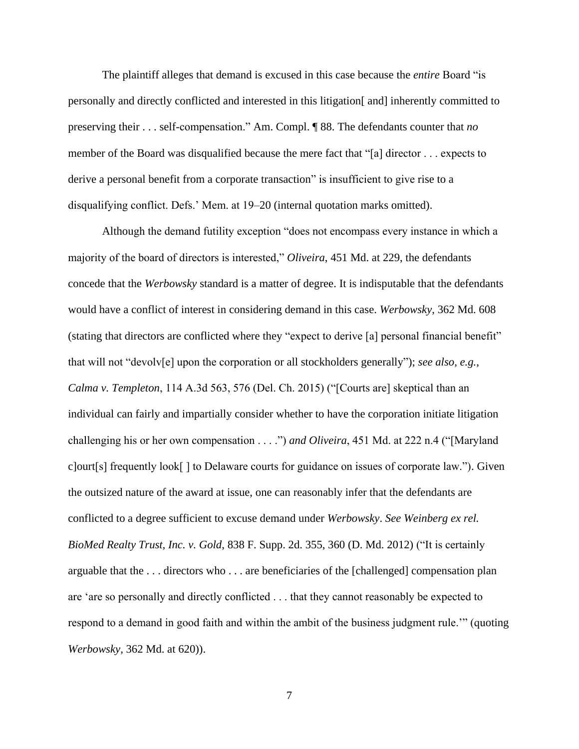The plaintiff alleges that demand is excused in this case because the *entire* Board "is personally and directly conflicted and interested in this litigation[ and] inherently committed to preserving their . . . self-compensation." Am. Compl. ¶ 88. The defendants counter that *no* member of the Board was disqualified because the mere fact that "[a] director . . . expects to derive a personal benefit from a corporate transaction" is insufficient to give rise to a disqualifying conflict. Defs.' Mem. at 19–20 (internal quotation marks omitted).

Although the demand futility exception "does not encompass every instance in which a majority of the board of directors is interested," *Oliveira*, 451 Md. at 229, the defendants concede that the *Werbowsky* standard is a matter of degree. It is indisputable that the defendants would have a conflict of interest in considering demand in this case. *Werbowsky*, 362 Md. 608 (stating that directors are conflicted where they "expect to derive [a] personal financial benefit" that will not "devolv[e] upon the corporation or all stockholders generally"); *see also, e.g.*, *Calma v. Templeton*, 114 A.3d 563, 576 (Del. Ch. 2015) ("[Courts are] skeptical than an individual can fairly and impartially consider whether to have the corporation initiate litigation challenging his or her own compensation . . . .") *and Oliveira*, 451 Md. at 222 n.4 ("[Maryland c]ourt[s] frequently look[ ] to Delaware courts for guidance on issues of corporate law."). Given the outsized nature of the award at issue, one can reasonably infer that the defendants are conflicted to a degree sufficient to excuse demand under *Werbowsky*. *See Weinberg ex rel. BioMed Realty Trust, Inc. v. Gold*, 838 F. Supp. 2d. 355, 360 (D. Md. 2012) ("It is certainly arguable that the . . . directors who . . . are beneficiaries of the [challenged] compensation plan are 'are so personally and directly conflicted . . . that they cannot reasonably be expected to respond to a demand in good faith and within the ambit of the business judgment rule.'" (quoting *Werbowsky*, 362 Md. at 620)).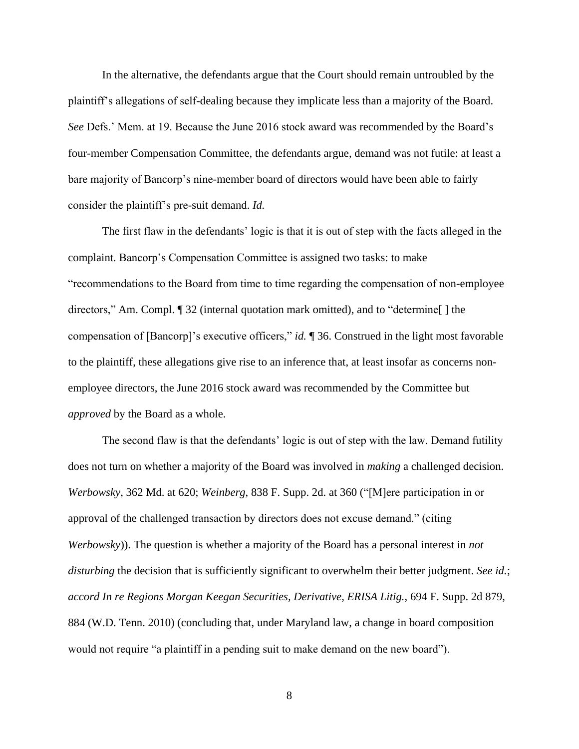In the alternative, the defendants argue that the Court should remain untroubled by the plaintiff's allegations of self-dealing because they implicate less than a majority of the Board. *See* Defs.' Mem. at 19. Because the June 2016 stock award was recommended by the Board's four-member Compensation Committee, the defendants argue, demand was not futile: at least a bare majority of Bancorp's nine-member board of directors would have been able to fairly consider the plaintiff's pre-suit demand. *Id.*

The first flaw in the defendants' logic is that it is out of step with the facts alleged in the complaint. Bancorp's Compensation Committee is assigned two tasks: to make "recommendations to the Board from time to time regarding the compensation of non-employee directors," Am. Compl. ¶ 32 (internal quotation mark omitted), and to "determine[ ] the compensation of [Bancorp]'s executive officers," *id.* ¶ 36. Construed in the light most favorable to the plaintiff, these allegations give rise to an inference that, at least insofar as concerns nonemployee directors, the June 2016 stock award was recommended by the Committee but *approved* by the Board as a whole.

The second flaw is that the defendants' logic is out of step with the law. Demand futility does not turn on whether a majority of the Board was involved in *making* a challenged decision. *Werbowsky*, 362 Md. at 620; *Weinberg*, 838 F. Supp. 2d. at 360 ("[M]ere participation in or approval of the challenged transaction by directors does not excuse demand." (citing *Werbowsky*)). The question is whether a majority of the Board has a personal interest in *not disturbing* the decision that is sufficiently significant to overwhelm their better judgment. *See id.*; *accord In re Regions Morgan Keegan Securities, Derivative, ERISA Litig.*, 694 F. Supp. 2d 879, 884 (W.D. Tenn. 2010) (concluding that, under Maryland law, a change in board composition would not require "a plaintiff in a pending suit to make demand on the new board").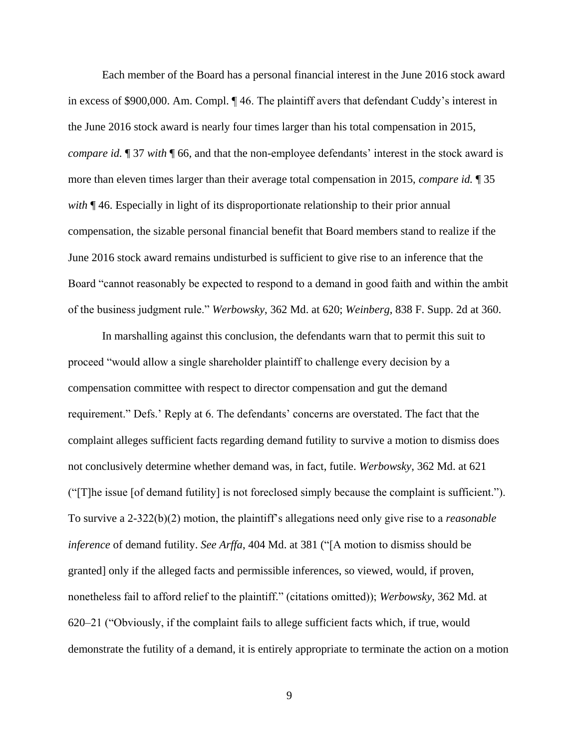Each member of the Board has a personal financial interest in the June 2016 stock award in excess of \$900,000. Am. Compl. ¶ 46. The plaintiff avers that defendant Cuddy's interest in the June 2016 stock award is nearly four times larger than his total compensation in 2015, *compare id.* ¶ 37 *with* ¶ 66, and that the non-employee defendants' interest in the stock award is more than eleven times larger than their average total compensation in 2015, *compare id.* ¶ 35 *with* ¶ 46. Especially in light of its disproportionate relationship to their prior annual compensation, the sizable personal financial benefit that Board members stand to realize if the June 2016 stock award remains undisturbed is sufficient to give rise to an inference that the Board "cannot reasonably be expected to respond to a demand in good faith and within the ambit of the business judgment rule." *Werbowsky*, 362 Md. at 620; *Weinberg*, 838 F. Supp. 2d at 360.

In marshalling against this conclusion, the defendants warn that to permit this suit to proceed "would allow a single shareholder plaintiff to challenge every decision by a compensation committee with respect to director compensation and gut the demand requirement." Defs.' Reply at 6. The defendants' concerns are overstated. The fact that the complaint alleges sufficient facts regarding demand futility to survive a motion to dismiss does not conclusively determine whether demand was, in fact, futile. *Werbowsky*, 362 Md. at 621 ("[T]he issue [of demand futility] is not foreclosed simply because the complaint is sufficient."). To survive a 2-322(b)(2) motion, the plaintiff's allegations need only give rise to a *reasonable inference* of demand futility. *See Arffa*, 404 Md. at 381 ("[A motion to dismiss should be granted] only if the alleged facts and permissible inferences, so viewed, would, if proven, nonetheless fail to afford relief to the plaintiff." (citations omitted)); *Werbowsky*, 362 Md. at 620–21 ("Obviously, if the complaint fails to allege sufficient facts which, if true, would demonstrate the futility of a demand, it is entirely appropriate to terminate the action on a motion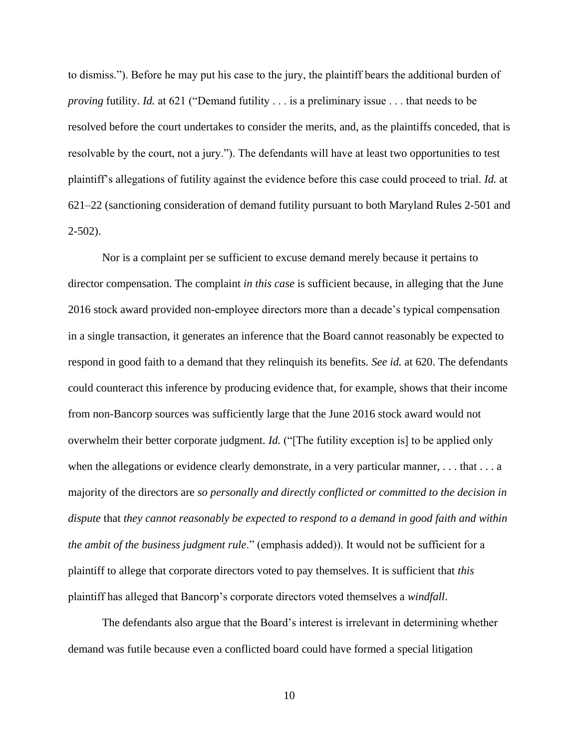to dismiss."). Before he may put his case to the jury, the plaintiff bears the additional burden of *proving* futility. *Id.* at 621 ("Demand futility . . . is a preliminary issue . . . that needs to be resolved before the court undertakes to consider the merits, and, as the plaintiffs conceded, that is resolvable by the court, not a jury."). The defendants will have at least two opportunities to test plaintiff's allegations of futility against the evidence before this case could proceed to trial. *Id.* at 621–22 (sanctioning consideration of demand futility pursuant to both Maryland Rules 2-501 and 2-502).

Nor is a complaint per se sufficient to excuse demand merely because it pertains to director compensation. The complaint *in this case* is sufficient because, in alleging that the June 2016 stock award provided non-employee directors more than a decade's typical compensation in a single transaction, it generates an inference that the Board cannot reasonably be expected to respond in good faith to a demand that they relinquish its benefits. *See id.* at 620. The defendants could counteract this inference by producing evidence that, for example, shows that their income from non-Bancorp sources was sufficiently large that the June 2016 stock award would not overwhelm their better corporate judgment. *Id.* ("[The futility exception is] to be applied only when the allegations or evidence clearly demonstrate, in a very particular manner, ... that ... a majority of the directors are *so personally and directly conflicted or committed to the decision in dispute* that *they cannot reasonably be expected to respond to a demand in good faith and within the ambit of the business judgment rule*." (emphasis added)). It would not be sufficient for a plaintiff to allege that corporate directors voted to pay themselves. It is sufficient that *this* plaintiff has alleged that Bancorp's corporate directors voted themselves a *windfall*.

The defendants also argue that the Board's interest is irrelevant in determining whether demand was futile because even a conflicted board could have formed a special litigation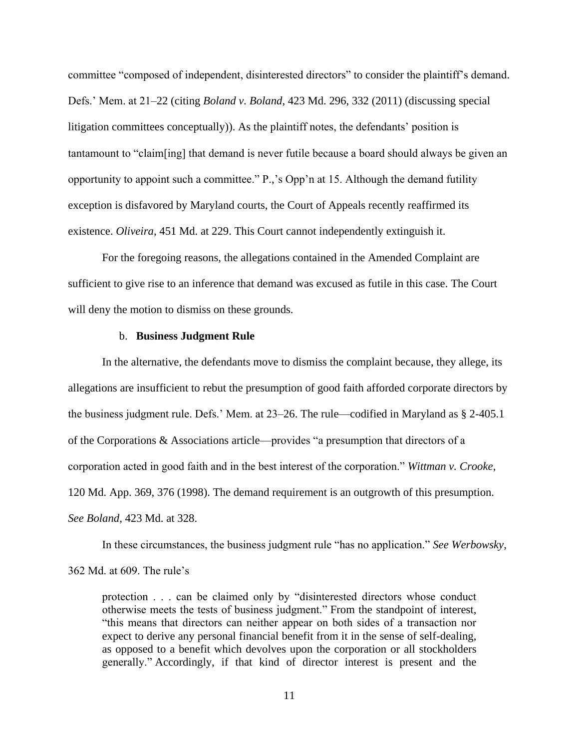committee "composed of independent, disinterested directors" to consider the plaintiff's demand. Defs.' Mem. at 21–22 (citing *Boland v. Boland*, 423 Md. 296, 332 (2011) (discussing special litigation committees conceptually)). As the plaintiff notes, the defendants' position is tantamount to "claim[ing] that demand is never futile because a board should always be given an opportunity to appoint such a committee." P.,'s Opp'n at 15. Although the demand futility exception is disfavored by Maryland courts, the Court of Appeals recently reaffirmed its existence. *Oliveira*, 451 Md. at 229. This Court cannot independently extinguish it.

For the foregoing reasons, the allegations contained in the Amended Complaint are sufficient to give rise to an inference that demand was excused as futile in this case. The Court will deny the motion to dismiss on these grounds.

### b. **Business Judgment Rule**

In the alternative, the defendants move to dismiss the complaint because, they allege, its allegations are insufficient to rebut the presumption of good faith afforded corporate directors by the business judgment rule. Defs.' Mem. at 23–26. The rule—codified in Maryland as § 2-405.1 of the Corporations & Associations article—provides "a presumption that directors of a corporation acted in good faith and in the best interest of the corporation." *Wittman v. Crooke*, 120 Md. App. 369, 376 (1998). The demand requirement is an outgrowth of this presumption. *See Boland*, 423 Md. at 328.

In these circumstances, the business judgment rule "has no application." *See Werbowsky*,

362 Md. at 609. The rule's

protection . . . can be claimed only by "disinterested directors whose conduct otherwise meets the tests of business judgment." From the standpoint of interest, "this means that directors can neither appear on both sides of a transaction nor expect to derive any personal financial benefit from it in the sense of self-dealing, as opposed to a benefit which devolves upon the corporation or all stockholders generally." Accordingly, if that kind of director interest is present and the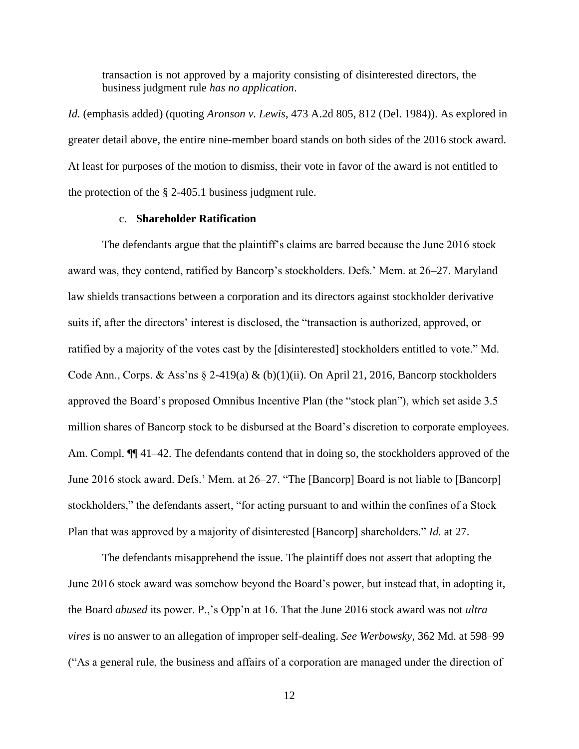transaction is not approved by a majority consisting of disinterested directors, the business judgment rule *has no application*.

*Id.* (emphasis added) (quoting *Aronson v. Lewis*, 473 A.2d 805, 812 (Del. 1984)). As explored in greater detail above, the entire nine-member board stands on both sides of the 2016 stock award. At least for purposes of the motion to dismiss, their vote in favor of the award is not entitled to the protection of the § 2-405.1 business judgment rule.

# c. **Shareholder Ratification**

The defendants argue that the plaintiff's claims are barred because the June 2016 stock award was, they contend, ratified by Bancorp's stockholders. Defs.' Mem. at 26–27. Maryland law shields transactions between a corporation and its directors against stockholder derivative suits if, after the directors' interest is disclosed, the "transaction is authorized, approved, or ratified by a majority of the votes cast by the [disinterested] stockholders entitled to vote." Md. Code Ann., Corps. & Ass'ns  $\S$  2-419(a) & (b)(1)(ii). On April 21, 2016, Bancorp stockholders approved the Board's proposed Omnibus Incentive Plan (the "stock plan"), which set aside 3.5 million shares of Bancorp stock to be disbursed at the Board's discretion to corporate employees. Am. Compl.  $\P$  41–42. The defendants contend that in doing so, the stockholders approved of the June 2016 stock award. Defs.' Mem. at 26–27. "The [Bancorp] Board is not liable to [Bancorp] stockholders," the defendants assert, "for acting pursuant to and within the confines of a Stock Plan that was approved by a majority of disinterested [Bancorp] shareholders." *Id.* at 27.

The defendants misapprehend the issue. The plaintiff does not assert that adopting the June 2016 stock award was somehow beyond the Board's power, but instead that, in adopting it, the Board *abused* its power. P.,'s Opp'n at 16. That the June 2016 stock award was not *ultra vires* is no answer to an allegation of improper self-dealing. *See Werbowsky*, 362 Md. at 598–99 ("As a general rule, the business and affairs of a corporation are managed under the direction of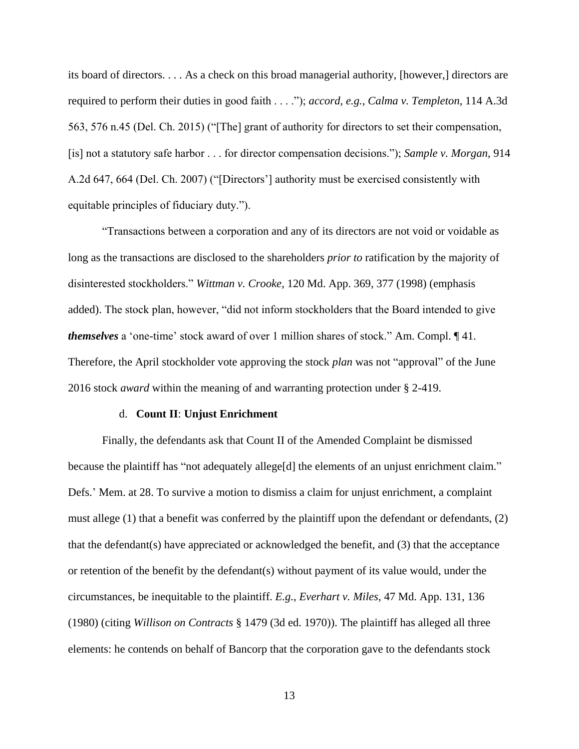its board of directors. . . . As a check on this broad managerial authority, [however,] directors are required to perform their duties in good faith . . . ."); *accord, e.g.*, *Calma v. Templeton*, 114 A.3d 563, 576 n.45 (Del. Ch. 2015) ("[The] grant of authority for directors to set their compensation, [is] not a statutory safe harbor . . . for director compensation decisions."); *Sample v. Morgan*, 914 A.2d 647, 664 (Del. Ch. 2007) ("[Directors'] authority must be exercised consistently with equitable principles of fiduciary duty.").

"Transactions between a corporation and any of its directors are not void or voidable as long as the transactions are disclosed to the shareholders *prior to* ratification by the majority of disinterested stockholders." *Wittman v. Crooke*, 120 Md. App. 369, 377 (1998) (emphasis added). The stock plan, however, "did not inform stockholders that the Board intended to give *themselves* a 'one-time' stock award of over 1 million shares of stock." Am. Compl. ¶ 41. Therefore, the April stockholder vote approving the stock *plan* was not "approval" of the June 2016 stock *award* within the meaning of and warranting protection under § 2-419.

#### d. **Count II**: **Unjust Enrichment**

Finally, the defendants ask that Count II of the Amended Complaint be dismissed because the plaintiff has "not adequately allege[d] the elements of an unjust enrichment claim." Defs.' Mem. at 28. To survive a motion to dismiss a claim for unjust enrichment, a complaint must allege (1) that a benefit was conferred by the plaintiff upon the defendant or defendants, (2) that the defendant(s) have appreciated or acknowledged the benefit, and (3) that the acceptance or retention of the benefit by the defendant(s) without payment of its value would, under the circumstances, be inequitable to the plaintiff. *E.g.*, *Everhart v. Miles*, 47 Md. App. 131, 136 (1980) (citing *Willison on Contracts* § 1479 (3d ed. 1970)). The plaintiff has alleged all three elements: he contends on behalf of Bancorp that the corporation gave to the defendants stock